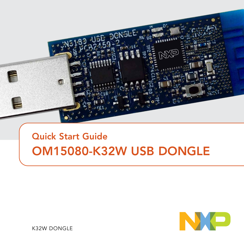

# Quick Start Guide OM15080-K32W USB DONGLE



K32W DONGLE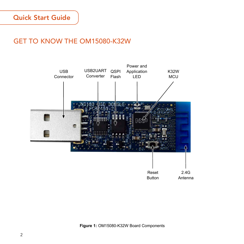## GET TO KNOW THE OM15080-K32W

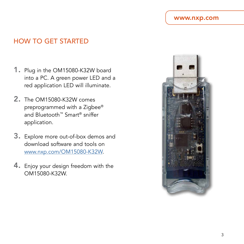#### www.nxp.com

### HOW TO GET STARTED

- 1. Plug in the OM15080-K32W board into a PC. A green power LED and a red application LED will illuminate.
- 2. The OM15080-K32W comes preprogrammed with a Zigbee® and Bluetooth™ Smart® sniffer application.
- 3. Explore more out-of-box demos and download software and tools on [www.nxp.com/OM15080-K32W](http://www.nxp.com/OM15080-K32W).
- 4. Enjoy your design freedom with the OM15080-K32W.